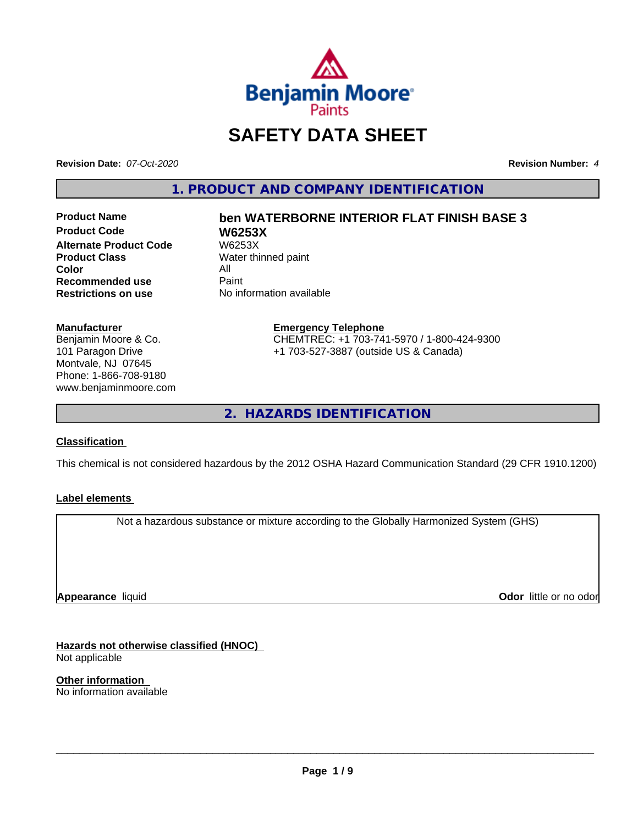

## **SAFETY DATA SHEET**

**Revision Date:** *07-Oct-2020* **Revision Number:** *4*

**1. PRODUCT AND COMPANY IDENTIFICATION**

**Product Code W6253X Alternate Product Code W6253X**<br>**Product Class** Water thi **Color** All<br> **Recommended use** Paint **Recommended use**<br>Restrictions on use

# **Product Name ben WATERBORNE INTERIOR FLAT FINISH BASE 3**

**Water thinned paint No information available** 

#### **Manufacturer**

Benjamin Moore & Co. 101 Paragon Drive Montvale, NJ 07645 Phone: 1-866-708-9180 www.benjaminmoore.com

#### **Emergency Telephone** CHEMTREC: +1 703-741-5970 / 1-800-424-9300 +1 703-527-3887 (outside US & Canada)

**2. HAZARDS IDENTIFICATION**

#### **Classification**

This chemical is not considered hazardous by the 2012 OSHA Hazard Communication Standard (29 CFR 1910.1200)

#### **Label elements**

Not a hazardous substance or mixture according to the Globally Harmonized System (GHS)

**Appearance** liquid

**Odor** little or no odor

**Hazards not otherwise classified (HNOC)** Not applicable

**Other information** No information available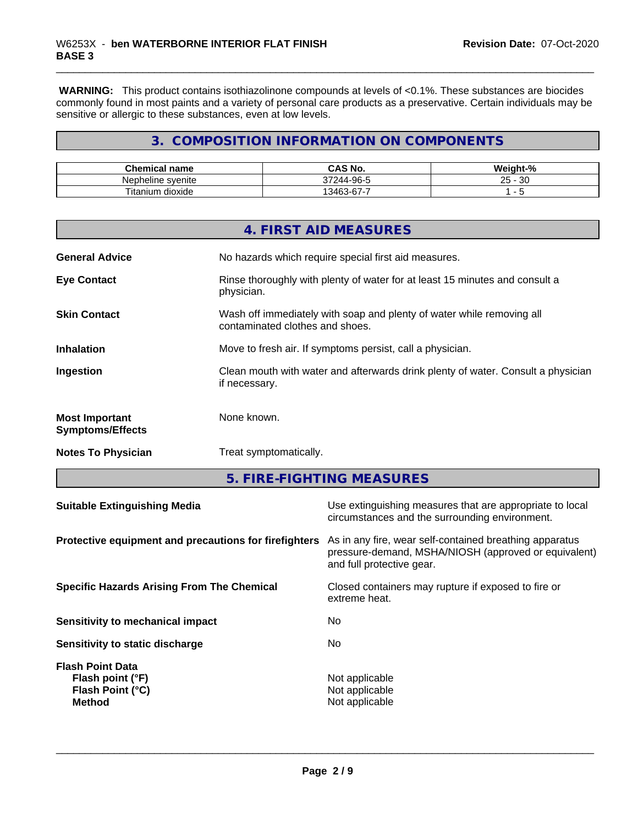**WARNING:** This product contains isothiazolinone compounds at levels of <0.1%. These substances are biocides commonly found in most paints and a variety of personal care products as a preservative. Certain individuals may be sensitive or allergic to these substances, even at low levels.

## **3. COMPOSITION INFORMATION ON COMPONENTS**

| Chemical<br>name                 | CAS No.<br>r۸                                          | <br>√elqht-"<br>70        |
|----------------------------------|--------------------------------------------------------|---------------------------|
| Nepheline svenite                | .۹۵<br>-<br>$\sim$ $\sim$ $\sim$<br>-244-<br>∩-−<br>JΙ | ?∩<br>$\sim$<br>∠∪<br>ັບເ |
| Titaniu<br>. .<br>dioxide<br>.um | $\sim$<br>-<br>$\sqrt{2}$<br>.34F<br>$5 - 6$<br>ີ      |                           |

|                                                  | 4. FIRST AID MEASURES                                                                                    |
|--------------------------------------------------|----------------------------------------------------------------------------------------------------------|
| <b>General Advice</b>                            | No hazards which require special first aid measures.                                                     |
| <b>Eye Contact</b>                               | Rinse thoroughly with plenty of water for at least 15 minutes and consult a<br>physician.                |
| <b>Skin Contact</b>                              | Wash off immediately with soap and plenty of water while removing all<br>contaminated clothes and shoes. |
| <b>Inhalation</b>                                | Move to fresh air. If symptoms persist, call a physician.                                                |
| Ingestion                                        | Clean mouth with water and afterwards drink plenty of water. Consult a physician<br>if necessary.        |
| <b>Most Important</b><br><b>Symptoms/Effects</b> | None known.                                                                                              |
| <b>Notes To Physician</b>                        | Treat symptomatically.                                                                                   |

**5. FIRE-FIGHTING MEASURES**

| Protective equipment and precautions for firefighters<br>As in any fire, wear self-contained breathing apparatus<br>pressure-demand, MSHA/NIOSH (approved or equivalent) |  |
|--------------------------------------------------------------------------------------------------------------------------------------------------------------------------|--|
| and full protective gear.                                                                                                                                                |  |
| Closed containers may rupture if exposed to fire or<br><b>Specific Hazards Arising From The Chemical</b><br>extreme heat.                                                |  |
| No.<br>Sensitivity to mechanical impact                                                                                                                                  |  |
| No.<br>Sensitivity to static discharge                                                                                                                                   |  |
| <b>Flash Point Data</b><br>Not applicable<br>Flash point (°F)<br>Flash Point (°C)<br>Not applicable<br>Not applicable<br><b>Method</b>                                   |  |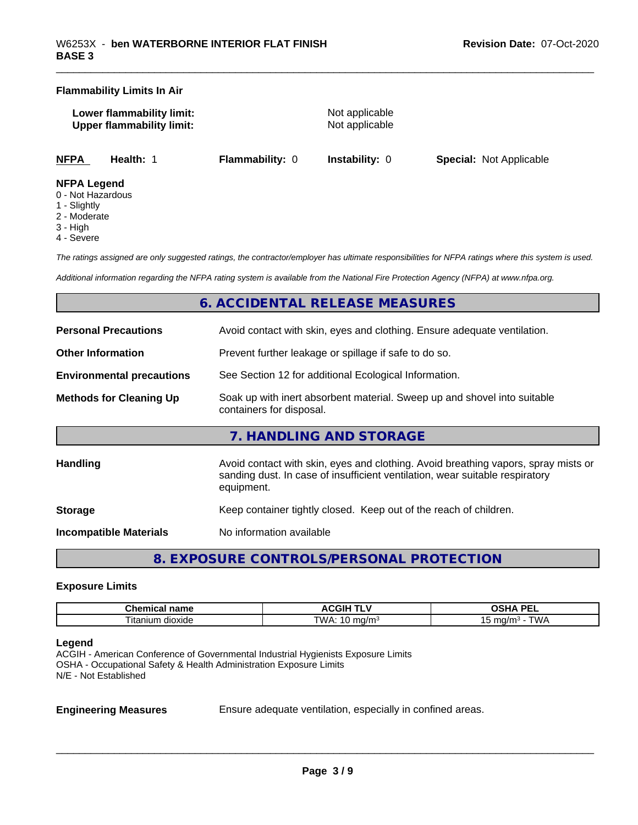#### **Flammability Limits In Air**

| Lower flammability limit:        |  |
|----------------------------------|--|
| <b>Upper flammability limit:</b> |  |

**Not applicable Not applicable** 

**NFPA Health:** 1 **Flammability:** 0 **Instability:** 0 **Special:** Not Applicable

#### **NFPA Legend**

- 0 Not Hazardous
- 1 Slightly
- 2 Moderate
- 3 High
- 4 Severe

*The ratings assigned are only suggested ratings, the contractor/employer has ultimate responsibilities for NFPA ratings where this system is used.*

*Additional information regarding the NFPA rating system is available from the National Fire Protection Agency (NFPA) at www.nfpa.org.*

## **6. ACCIDENTAL RELEASE MEASURES**

| <b>Personal Precautions</b>      | Avoid contact with skin, eyes and clothing. Ensure adequate ventilation.                                                                                                         |
|----------------------------------|----------------------------------------------------------------------------------------------------------------------------------------------------------------------------------|
| <b>Other Information</b>         | Prevent further leakage or spillage if safe to do so.                                                                                                                            |
| <b>Environmental precautions</b> | See Section 12 for additional Ecological Information.                                                                                                                            |
| <b>Methods for Cleaning Up</b>   | Soak up with inert absorbent material. Sweep up and shovel into suitable<br>containers for disposal.                                                                             |
|                                  | 7. HANDLING AND STORAGE                                                                                                                                                          |
| <b>Handling</b>                  | Avoid contact with skin, eyes and clothing. Avoid breathing vapors, spray mists or<br>sanding dust. In case of insufficient ventilation, wear suitable respiratory<br>equipment. |
| <b>Storage</b>                   | Keep container tightly closed. Keep out of the reach of children.                                                                                                                |
| <b>Incompatible Materials</b>    | No information available                                                                                                                                                         |

**8. EXPOSURE CONTROLS/PERSONAL PROTECTION**

#### **Exposure Limits**

| name<br>Chemical<br>пане | . .<br>.GIF<br>"<br>. .<br>$\ddot{\phantom{0}}$ | <b>DEI</b><br>$\boldsymbol{\mathcal{L}}$<br>--<br>$-$<br>-- |
|--------------------------|-------------------------------------------------|-------------------------------------------------------------|
| m dioxide<br>l Itanium   | <b>TMA</b><br>ma/mª<br>. .                      | ™ட<br>ma/n<br>.                                             |

#### **Legend**

ACGIH - American Conference of Governmental Industrial Hygienists Exposure Limits OSHA - Occupational Safety & Health Administration Exposure Limits N/E - Not Established

**Engineering Measures** Ensure adequate ventilation, especially in confined areas.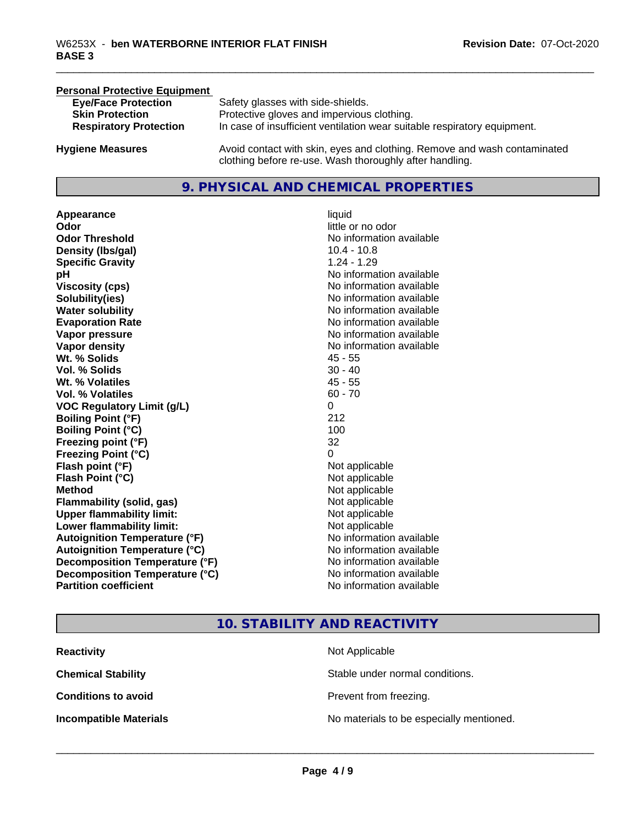| <b>Personal Protective Equipment</b> |                                                                                                                                     |
|--------------------------------------|-------------------------------------------------------------------------------------------------------------------------------------|
| <b>Eye/Face Protection</b>           | Safety glasses with side-shields.                                                                                                   |
| <b>Skin Protection</b>               | Protective gloves and impervious clothing.                                                                                          |
| <b>Respiratory Protection</b>        | In case of insufficient ventilation wear suitable respiratory equipment.                                                            |
| <b>Hygiene Measures</b>              | Avoid contact with skin, eyes and clothing. Remove and wash contaminated<br>clothing before re-use. Wash thoroughly after handling. |

## **9. PHYSICAL AND CHEMICAL PROPERTIES**

**Appearance** liquid **Odor** little or no odor **Odor Threshold No information available No information available Density (Ibs/gal)** 10.4 - 10.8 **Specific Gravity** 1.24 - 1.29 **pH** No information available **Viscosity (cps)** No information available **Solubility(ies)** No information available **Water solubility** No information available **Evaporation Rate No information available No information available Vapor pressure** No information available **Vapor density** No information available **Wt. % Solids** 45 - 55 **Vol. % Solids** 30 - 40 **Wt. % Volatiles** 45 - 55 **Vol. % Volatiles** 60 - 70 **VOC Regulatory Limit (g/L)** 0 **Boiling Point (°F)** 212 **Boiling Point**  $(°C)$  100 **Freezing point (°F)** 32 **Freezing Point (°C)** 0 **Flash point (°F)**<br> **Flash Point (°C)**<br> **Flash Point (°C)**<br> **Not** applicable **Flash Point (°C) Method** Not applicable **Flammability (solid, gas)** Not applicable **Upper flammability limit:** Not applicable **Lower flammability limit:** Not applicable **Autoignition Temperature (°F)** No information available **Autoignition Temperature (°C)**<br> **Decomposition Temperature (°F)** No information available **Decomposition Temperature (°F)**<br> **Decomposition Temperature (°C)** No information available **Decomposition Temperature (°C) Partition coefficient Contract Contract Contract Contract Contract Contract Contract Contract Contract Contract Contract Contract Contract Contract Contract Contract Contract Contract Contract Contract Contract Contract** 

## **10. STABILITY AND REACTIVITY**

| <b>Reactivity</b>             | Not Applicable                           |
|-------------------------------|------------------------------------------|
| <b>Chemical Stability</b>     | Stable under normal conditions.          |
| <b>Conditions to avoid</b>    | Prevent from freezing.                   |
| <b>Incompatible Materials</b> | No materials to be especially mentioned. |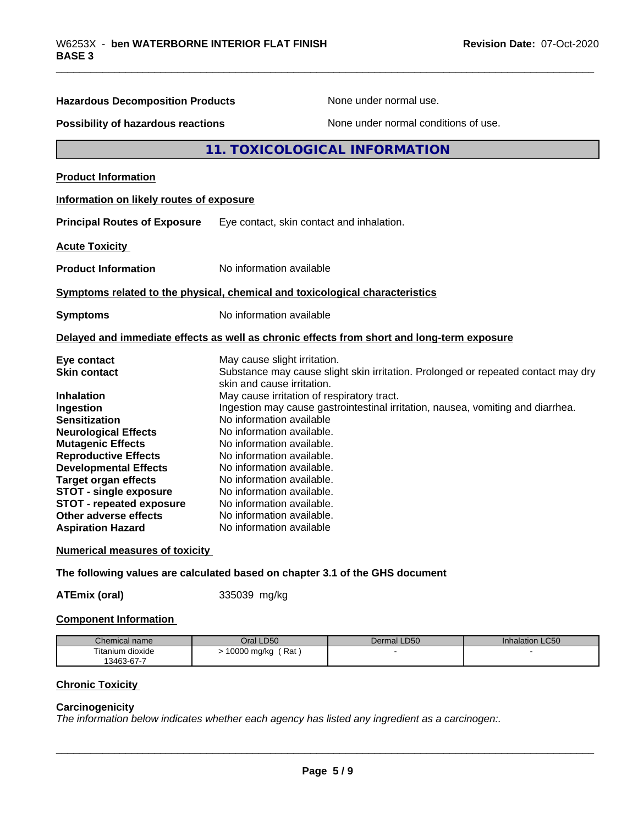| <b>Hazardous Decomposition Products</b>                                                                               | None under normal use.                                                                                          |
|-----------------------------------------------------------------------------------------------------------------------|-----------------------------------------------------------------------------------------------------------------|
| <b>Possibility of hazardous reactions</b>                                                                             | None under normal conditions of use.                                                                            |
|                                                                                                                       | 11. TOXICOLOGICAL INFORMATION                                                                                   |
| <b>Product Information</b>                                                                                            |                                                                                                                 |
| Information on likely routes of exposure                                                                              |                                                                                                                 |
| <b>Principal Routes of Exposure</b>                                                                                   | Eye contact, skin contact and inhalation.                                                                       |
| <b>Acute Toxicity</b>                                                                                                 |                                                                                                                 |
| <b>Product Information</b>                                                                                            | No information available                                                                                        |
|                                                                                                                       | Symptoms related to the physical, chemical and toxicological characteristics                                    |
| <b>Symptoms</b>                                                                                                       | No information available                                                                                        |
|                                                                                                                       | Delayed and immediate effects as well as chronic effects from short and long-term exposure                      |
| Eye contact                                                                                                           | May cause slight irritation.                                                                                    |
| <b>Skin contact</b>                                                                                                   | Substance may cause slight skin irritation. Prolonged or repeated contact may dry<br>skin and cause irritation. |
| <b>Inhalation</b>                                                                                                     | May cause irritation of respiratory tract.                                                                      |
| Ingestion                                                                                                             | Ingestion may cause gastrointestinal irritation, nausea, vomiting and diarrhea.                                 |
| <b>Sensitization</b>                                                                                                  | No information available                                                                                        |
| <b>Neurological Effects</b>                                                                                           | No information available.                                                                                       |
| <b>Mutagenic Effects</b>                                                                                              | No information available.                                                                                       |
| <b>Reproductive Effects</b>                                                                                           | No information available.                                                                                       |
| <b>Developmental Effects</b>                                                                                          | No information available.                                                                                       |
|                                                                                                                       | No information available.                                                                                       |
|                                                                                                                       |                                                                                                                 |
| <b>Target organ effects</b>                                                                                           | No information available.                                                                                       |
|                                                                                                                       | No information available.                                                                                       |
|                                                                                                                       | No information available.                                                                                       |
| <b>STOT - single exposure</b><br><b>STOT - repeated exposure</b><br>Other adverse effects<br><b>Aspiration Hazard</b> | No information available                                                                                        |

**The following values are calculated based on chapter 3.1 of the GHS document**

**ATEmix (oral)** 335039 mg/kg

#### **Component Information**

| Chemical name    | LD50<br>Jral            | Dermal LD50 | LC50<br>Inhalation |
|------------------|-------------------------|-------------|--------------------|
| Titanium dioxide | Rat<br>10000<br>, mg/kg |             |                    |
| 13463-67-7       |                         |             |                    |

## **Chronic Toxicity**

#### **Carcinogenicity**

*The information below indicateswhether each agency has listed any ingredient as a carcinogen:.*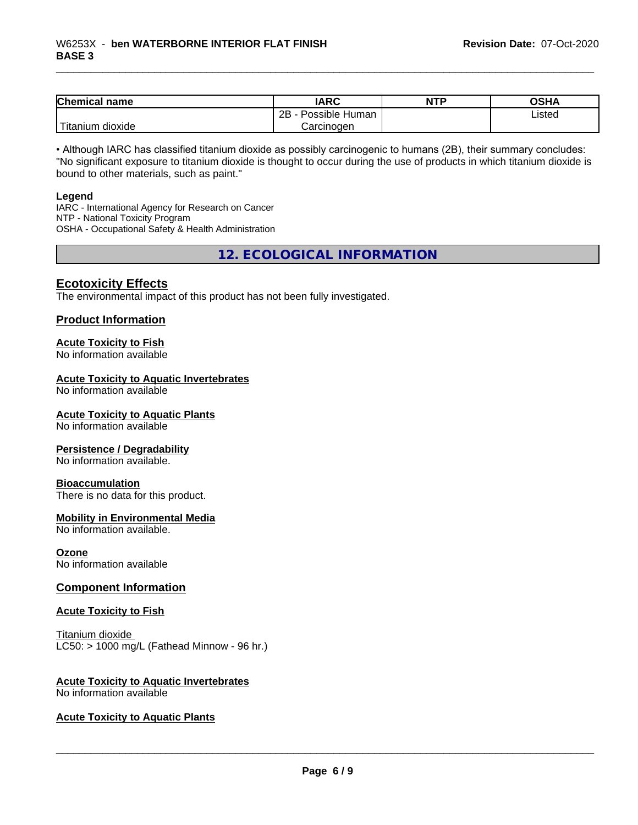| <b>Chemical name</b>       | <b>IARC</b>          | <b>NTP</b> | <b>OSHA</b> |
|----------------------------|----------------------|------------|-------------|
|                            | Possible Human<br>2B |            | Listed      |
| .<br>ı dioxide<br>Titanium | Carcinogen           |            |             |

• Although IARC has classified titanium dioxide as possibly carcinogenic to humans (2B), their summary concludes: "No significant exposure to titanium dioxide is thought to occur during the use of products in which titanium dioxide is bound to other materials, such as paint."

#### **Legend**

IARC - International Agency for Research on Cancer NTP - National Toxicity Program OSHA - Occupational Safety & Health Administration

**12. ECOLOGICAL INFORMATION**

### **Ecotoxicity Effects**

The environmental impact of this product has not been fully investigated.

#### **Product Information**

#### **Acute Toxicity to Fish**

No information available

### **Acute Toxicity to Aquatic Invertebrates**

No information available

#### **Acute Toxicity to Aquatic Plants**

No information available

#### **Persistence / Degradability**

No information available.

#### **Bioaccumulation**

There is no data for this product.

#### **Mobility in Environmental Media**

No information available.

#### **Ozone**

No information available

#### **Component Information**

#### **Acute Toxicity to Fish**

Titanium dioxide  $LC50:$  > 1000 mg/L (Fathead Minnow - 96 hr.)

## **Acute Toxicity to Aquatic Invertebrates**

No information available

#### **Acute Toxicity to Aquatic Plants**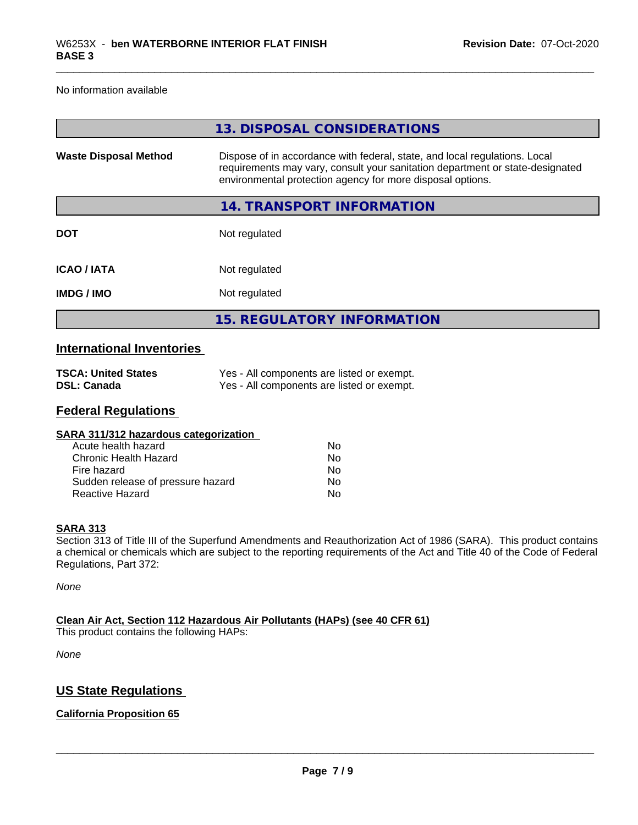No information available

|                              | 13. DISPOSAL CONSIDERATIONS                                                                                                                                                                                               |
|------------------------------|---------------------------------------------------------------------------------------------------------------------------------------------------------------------------------------------------------------------------|
| <b>Waste Disposal Method</b> | Dispose of in accordance with federal, state, and local regulations. Local<br>requirements may vary, consult your sanitation department or state-designated<br>environmental protection agency for more disposal options. |
|                              | 14. TRANSPORT INFORMATION                                                                                                                                                                                                 |
| <b>DOT</b>                   | Not regulated                                                                                                                                                                                                             |
| <b>ICAO/IATA</b>             | Not regulated                                                                                                                                                                                                             |
| <b>IMDG/IMO</b>              | Not regulated                                                                                                                                                                                                             |
|                              | <b>15. REGULATORY INFORMATION</b>                                                                                                                                                                                         |

## **International Inventories**

| <b>TSCA: United States</b> | Yes - All components are listed or exempt. |
|----------------------------|--------------------------------------------|
| DSL: Canada                | Yes - All components are listed or exempt. |

#### **Federal Regulations**

| Nο |  |
|----|--|
| Nο |  |
| No |  |
| No |  |
| No |  |
|    |  |

#### **SARA 313**

Section 313 of Title III of the Superfund Amendments and Reauthorization Act of 1986 (SARA). This product contains a chemical or chemicals which are subject to the reporting requirements of the Act and Title 40 of the Code of Federal Regulations, Part 372:

*None*

**Clean Air Act,Section 112 Hazardous Air Pollutants (HAPs) (see 40 CFR 61)** This product contains the following HAPs:

*None*

## **US State Regulations**

#### **California Proposition 65**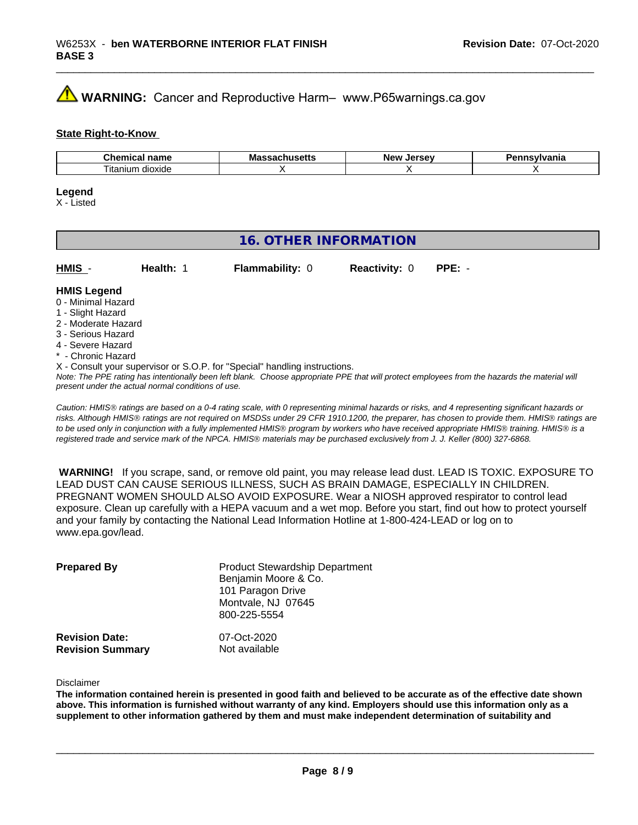## **AVIMARNING:** Cancer and Reproductive Harm– www.P65warnings.ca.gov

#### **State Right-to-Know**

| $-1$<br>пане<br>91 I I I<br>uu | ма<br>. | <b>AFCAU</b><br>…Ne…<br> | .<br>anıa |
|--------------------------------|---------|--------------------------|-----------|
| dioxide<br>l itanıum           |         |                          |           |

#### **Legend**

X - Listed

## **16. OTHER INFORMATION**

| HMIS | Health: | <b>Flammability: 0</b> | <b>Reactivity: 0 PPE: -</b> |  |
|------|---------|------------------------|-----------------------------|--|
|      |         |                        |                             |  |

#### **HMIS Legend**

- 0 Minimal Hazard
- 1 Slight Hazard
- 2 Moderate Hazard
- 3 Serious Hazard
- 4 Severe Hazard
- \* Chronic Hazard
- X Consult your supervisor or S.O.P. for "Special" handling instructions.

*Note: The PPE rating has intentionally been left blank. Choose appropriate PPE that will protect employees from the hazards the material will present under the actual normal conditions of use.*

*Caution: HMISÒ ratings are based on a 0-4 rating scale, with 0 representing minimal hazards or risks, and 4 representing significant hazards or risks. Although HMISÒ ratings are not required on MSDSs under 29 CFR 1910.1200, the preparer, has chosen to provide them. HMISÒ ratings are to be used only in conjunction with a fully implemented HMISÒ program by workers who have received appropriate HMISÒ training. HMISÒ is a registered trade and service mark of the NPCA. HMISÒ materials may be purchased exclusively from J. J. Keller (800) 327-6868.*

 **WARNING!** If you scrape, sand, or remove old paint, you may release lead dust. LEAD IS TOXIC. EXPOSURE TO LEAD DUST CAN CAUSE SERIOUS ILLNESS, SUCH AS BRAIN DAMAGE, ESPECIALLY IN CHILDREN. PREGNANT WOMEN SHOULD ALSO AVOID EXPOSURE.Wear a NIOSH approved respirator to control lead exposure. Clean up carefully with a HEPA vacuum and a wet mop. Before you start, find out how to protect yourself and your family by contacting the National Lead Information Hotline at 1-800-424-LEAD or log on to www.epa.gov/lead.

| <b>Prepared By</b>                               | <b>Product Stewardship Department</b><br>Benjamin Moore & Co.<br>101 Paragon Drive<br>Montvale, NJ 07645<br>800-225-5554 |  |
|--------------------------------------------------|--------------------------------------------------------------------------------------------------------------------------|--|
| <b>Revision Date:</b><br><b>Revision Summary</b> | 07-Oct-2020<br>Not available                                                                                             |  |

Disclaimer

The information contained herein is presented in good faith and believed to be accurate as of the effective date shown above. This information is furnished without warranty of any kind. Employers should use this information only as a **supplement to other information gathered by them and must make independent determination of suitability and**